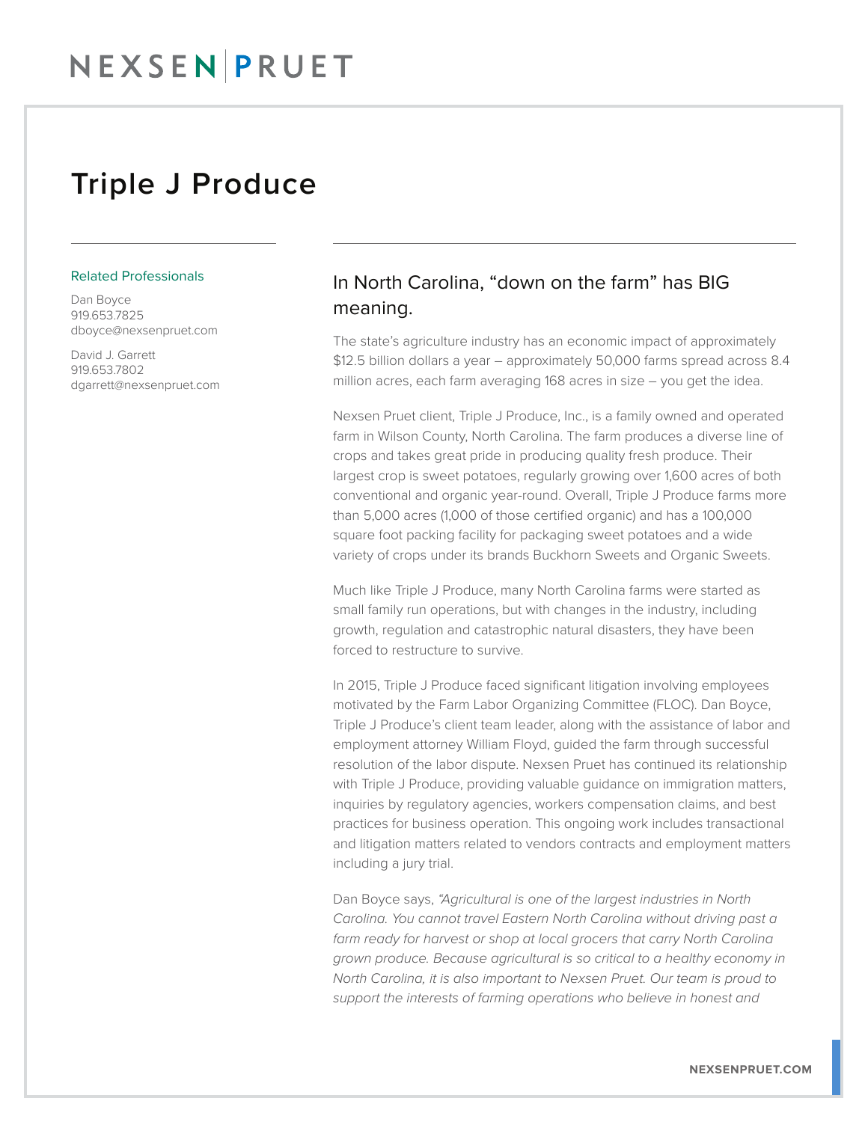## Triple J Produce

## Related Professionals

Dan Boyce 919.653.7825 dboyce@nexsenpruet.com

David J. Garrett 919.653.7802 dgarrett@nexsenpruet.com

## In North Carolina, "down on the farm" has BIG meaning.

The state's agriculture industry has an economic impact of approximately \$12.5 billion dollars a year – approximately 50,000 farms spread across 8.4 million acres, each farm averaging 168 acres in size – you get the idea.

Nexsen Pruet client, Triple J Produce, Inc., is a family owned and operated farm in Wilson County, North Carolina. The farm produces a diverse line of crops and takes great pride in producing quality fresh produce. Their largest crop is sweet potatoes, regularly growing over 1,600 acres of both conventional and organic year-round. Overall, Triple J Produce farms more than 5,000 acres (1,000 of those certified organic) and has a 100,000 square foot packing facility for packaging sweet potatoes and a wide variety of crops under its brands Buckhorn Sweets and Organic Sweets.

Much like Triple J Produce, many North Carolina farms were started as small family run operations, but with changes in the industry, including growth, regulation and catastrophic natural disasters, they have been forced to restructure to survive.

In 2015, Triple J Produce faced significant litigation involving employees motivated by the Farm Labor Organizing Committee (FLOC). Dan Boyce, Triple J Produce's client team leader, along with the assistance of labor and employment attorney William Floyd, guided the farm through successful resolution of the labor dispute. Nexsen Pruet has continued its relationship with Triple J Produce, providing valuable guidance on immigration matters, inquiries by regulatory agencies, workers compensation claims, and best practices for business operation. This ongoing work includes transactional and litigation matters related to vendors contracts and employment matters including a jury trial.

Dan Boyce says, *"Agricultural is one of the largest industries in North Carolina. You cannot travel Eastern North Carolina without driving past a farm ready for harvest or shop at local grocers that carry North Carolina grown produce. Because agricultural is so critical to a healthy economy in North Carolina, it is also important to Nexsen Pruet. Our team is proud to support the interests of farming operations who believe in honest and*